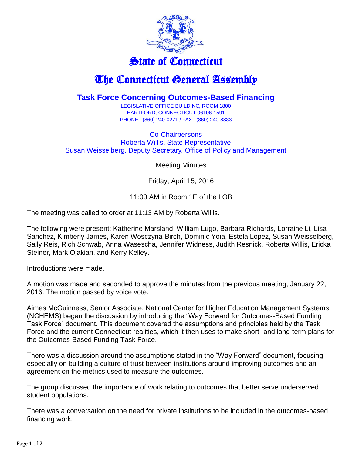

## State of Connecticut

## The Connecticut General Assembly

## **Task Force Concerning Outcomes-Based Financing**

LEGISLATIVE OFFICE BUILDING, ROOM 1800 HARTFORD, CONNECTICUT 06106-1591 PHONE: (860) 240-0271 / FAX: (860) 240-8833

Co-Chairpersons Roberta Willis, State Representative Susan Weisselberg, Deputy Secretary, Office of Policy and Management

Meeting Minutes

Friday, April 15, 2016

11:00 AM in Room 1E of the LOB

The meeting was called to order at 11:13 AM by Roberta Willis.

The following were present: Katherine Marsland, William Lugo, Barbara Richards, Lorraine Li, Lisa Sánchez, Kimberly James, Karen Wosczyna-Birch, Dominic Yoia, Estela Lopez, Susan Weisselberg, Sally Reis, Rich Schwab, Anna Wasescha, Jennifer Widness, Judith Resnick, Roberta Willis, Ericka Steiner, Mark Ojakian, and Kerry Kelley.

Introductions were made.

A motion was made and seconded to approve the minutes from the previous meeting, January 22, 2016. The motion passed by voice vote.

Aimes McGuinness, Senior Associate, National Center for Higher Education Management Systems (NCHEMS) began the discussion by introducing the "Way Forward for Outcomes-Based Funding Task Force" document. This document covered the assumptions and principles held by the Task Force and the current Connecticut realities, which it then uses to make short- and long-term plans for the Outcomes-Based Funding Task Force.

There was a discussion around the assumptions stated in the "Way Forward" document, focusing especially on building a culture of trust between institutions around improving outcomes and an agreement on the metrics used to measure the outcomes.

The group discussed the importance of work relating to outcomes that better serve underserved student populations.

There was a conversation on the need for private institutions to be included in the outcomes-based financing work.